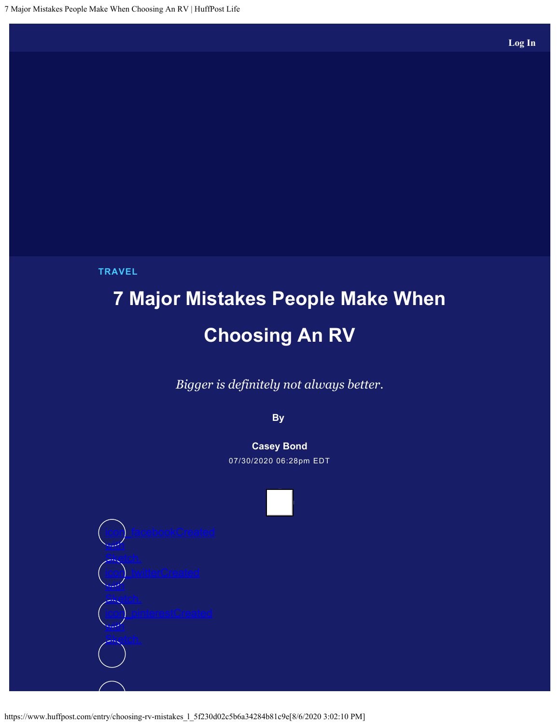**[TRAVEL](https://www.huffpost.com/life/travel)**

# **7 Major Mistakes People Make When Choosing An RV**

*Bigger is definitely not always better.*

**By**

**[Casey Bond](https://www.huffpost.com/author/casey-bond)** 07/30/2020 06:28pm EDT



[icon\\_facebookCreated](https://facebook.com/share.php?u=https%3A%2F%2Fwww.huffpost.com%2Fentry%2Fchoosing-rv-mistakes_l_5f230d02c5b6a34284b81c9e%3Futm_campaign%3Dshare_facebook%26ncid%3Dengmodushpmg00000003) [with](https://facebook.com/share.php?u=https%3A%2F%2Fwww.huffpost.com%2Fentry%2Fchoosing-rv-mistakes_l_5f230d02c5b6a34284b81c9e%3Futm_campaign%3Dshare_facebook%26ncid%3Dengmodushpmg00000003) <u>[Sketch.](https://facebook.com/share.php?u=https%3A%2F%2Fwww.huffpost.com%2Fentry%2Fchoosing-rv-mistakes_l_5f230d02c5b6a34284b81c9e%3Futm_campaign%3Dshare_facebook%26ncid%3Dengmodushpmg00000003)</u> <u>[icon\\_twitterCreated](https://twitter.com/share?text=Renting%20or%20buying%20an%20RV%20this%20summer%3F%20Make%20sure%20you%20don)</u> [with](https://twitter.com/share?text=Renting%20or%20buying%20an%20RV%20this%20summer%3F%20Make%20sure%20you%20don) <u>[Sketch.](https://twitter.com/share?text=Renting%20or%20buying%20an%20RV%20this%20summer%3F%20Make%20sure%20you%20don)</u> [with](https://pinterest.com/pin/create/button/?url=https%3A%2F%2Fwww.huffpost.com%2Fentry%2Fchoosing-rv-mistakes_l_5f230d02c5b6a34284b81c9e%3Futm_campaign%3Dshare_pinterest%26ncid%3Dengmodushpmg00000005&media=https%3A%2F%2Fimg.huffingtonpost.com%2Fasset%2F5f230e9e250000b911c2a94e.jpeg%3Fcache%3DwTjRpTGbdR%26ops%3D1778_1000&description=) <u>[Sketch.](https://pinterest.com/pin/create/button/?url=https%3A%2F%2Fwww.huffpost.com%2Fentry%2Fchoosing-rv-mistakes_l_5f230d02c5b6a34284b81c9e%3Futm_campaign%3Dshare_pinterest%26ncid%3Dengmodushpmg00000005&media=https%3A%2F%2Fimg.huffingtonpost.com%2Fasset%2F5f230e9e250000b911c2a94e.jpeg%3Fcache%3DwTjRpTGbdR%26ops%3D1778_1000&description=)</u>

https://www.huffpost.com/entry/choosing-rv-mistakes\_l\_5f230d02c5b6a34284b81c9e[8/6/2020 3:02:10 PM]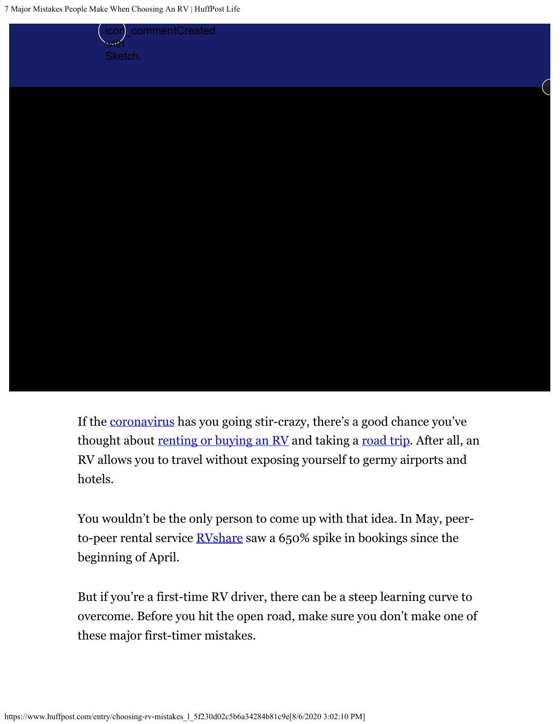

If the [coronavirus](https://www.huffpost.com/news/topic/coronavirus) has you going stir-crazy, there's a good chance you've thought about [renting or buying an RV](https://www.huffpost.com/entry/rent-buy-rv-road-trip-tips_l_5ef68ba3c5b6acab2841c498) and taking a [road trip](https://www.huffpost.com/life/topic/road-trips). After all, an RV allows you to travel without exposing yourself to germy airports and hotels.

You wouldn't be the only person to come up with that idea. In May, peerto-peer rental service **RVshare** saw a 650% spike in bookings since the beginning of April.

But if you're a first-time RV driver, there can be a steep learning curve to overcome. Before you hit the open road, make sure you don't make one of these major first-timer mistakes.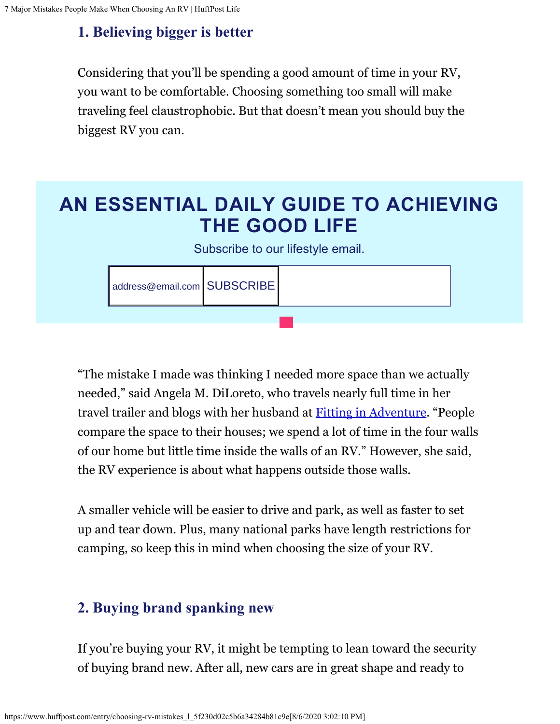#### **1. Believing bigger is better**

Considering that you'll be spending a good amount of time in your RV, you want to be comfortable. Choosing something too small will make traveling feel claustrophobic. But that doesn't mean you should buy the biggest RV you can.

## **AN ESSENTIAL DAILY GUIDE TO ACHIEVING THE GOOD LIFE**

Subscribe to our lifestyle email.

| address@email.com SUBSCRIBE |
|-----------------------------|
|-----------------------------|

"The mistake I made was thinking I needed more space than we actually needed," said Angela M. DiLoreto, who travels nearly full time in her travel trailer and blogs with her husband at [Fitting in Adventure](http://www.fittinginadventure.com/). "People compare the space to their houses; we spend a lot of time in the four walls of our home but little time inside the walls of an RV." However, she said, the RV experience is about what happens outside those walls.

A smaller vehicle will be easier to drive and park, as well as faster to set up and tear down. Plus, many national parks have length restrictions for camping, so keep this in mind when choosing the size of your RV.

### **2. Buying brand spanking new**

If you're buying your RV, it might be tempting to lean toward the security of buying brand new. After all, new cars are in great shape and ready to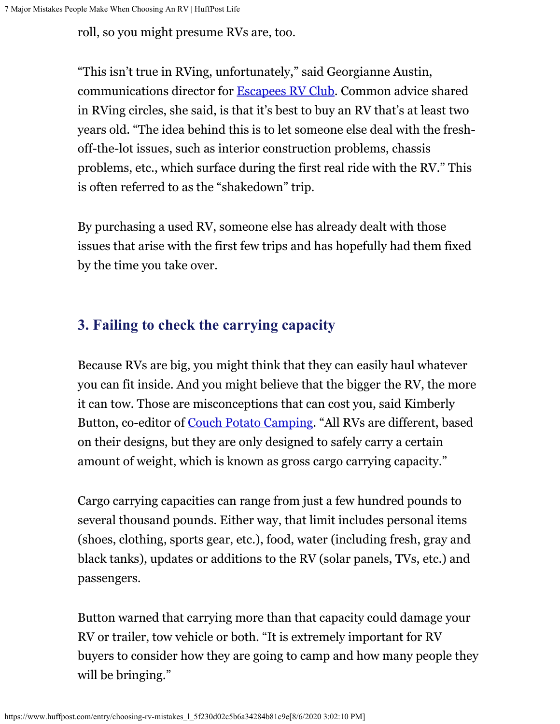roll, so you might presume RVs are, too.

"This isn't true in RVing, unfortunately," said Georgianne Austin, communications director for [Escapees RV Club](https://www.escapees.com/). Common advice shared in RVing circles, she said, is that it's best to buy an RV that's at least two years old. "The idea behind this is to let someone else deal with the freshoff-the-lot issues, such as interior construction problems, chassis problems, etc., which surface during the first real ride with the RV." This is often referred to as the "shakedown" trip.

By purchasing a used RV, someone else has already dealt with those issues that arise with the first few trips and has hopefully had them fixed by the time you take over.

#### **3. Failing to check the carrying capacity**

Because RVs are big, you might think that they can easily haul whatever you can fit inside. And you might believe that the bigger the RV, the more it can tow. Those are misconceptions that can cost you, said Kimberly Button, co-editor of [Couch Potato Camping](http://couchpotatocamping.com/). "All RVs are different, based on their designs, but they are only designed to safely carry a certain amount of weight, which is known as gross cargo carrying capacity."

Cargo carrying capacities can range from just a few hundred pounds to several thousand pounds. Either way, that limit includes personal items (shoes, clothing, sports gear, etc.), food, water (including fresh, gray and black tanks), updates or additions to the RV (solar panels, TVs, etc.) and passengers.

Button warned that carrying more than that capacity could damage your RV or trailer, tow vehicle or both. "It is extremely important for RV buyers to consider how they are going to camp and how many people they will be bringing."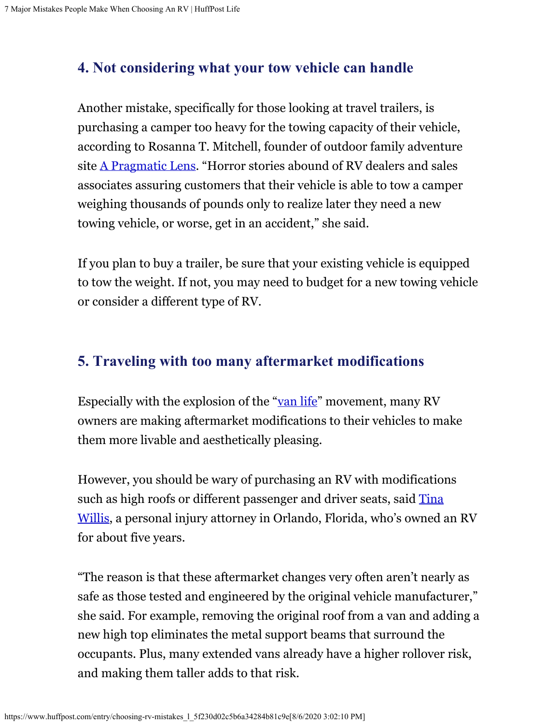#### **4. Not considering what your tow vehicle can handle**

Another mistake, specifically for those looking at travel trailers, is purchasing a camper too heavy for the towing capacity of their vehicle, according to Rosanna T. Mitchell, founder of outdoor family adventure site [A Pragmatic Lens](https://apragmaticlens.com/). "Horror stories abound of RV dealers and sales associates assuring customers that their vehicle is able to tow a camper weighing thousands of pounds only to realize later they need a new towing vehicle, or worse, get in an accident," she said.

If you plan to buy a trailer, be sure that your existing vehicle is equipped to tow the weight. If not, you may need to budget for a new towing vehicle or consider a different type of RV.

### **5. Traveling with too many aftermarket modifications**

Especially with the explosion of the ["van life](https://www.instagram.com/explore/tags/vanlifecommunity/)" movement, many RV owners are making aftermarket modifications to their vehicles to make them more livable and aesthetically pleasing.

However, you should be wary of purchasing an RV with modifications such as high roofs or different passenger and driver seats, said [Tina](https://injuryattorneyflorida.com/) [Willis,](https://injuryattorneyflorida.com/) a personal injury attorney in Orlando, Florida, who's owned an RV for about five years.

"The reason is that these aftermarket changes very often aren't nearly as safe as those tested and engineered by the original vehicle manufacturer," she said. For example, removing the original roof from a van and adding a new high top eliminates the metal support beams that surround the occupants. Plus, many extended vans already have a higher rollover risk, and making them taller adds to that risk.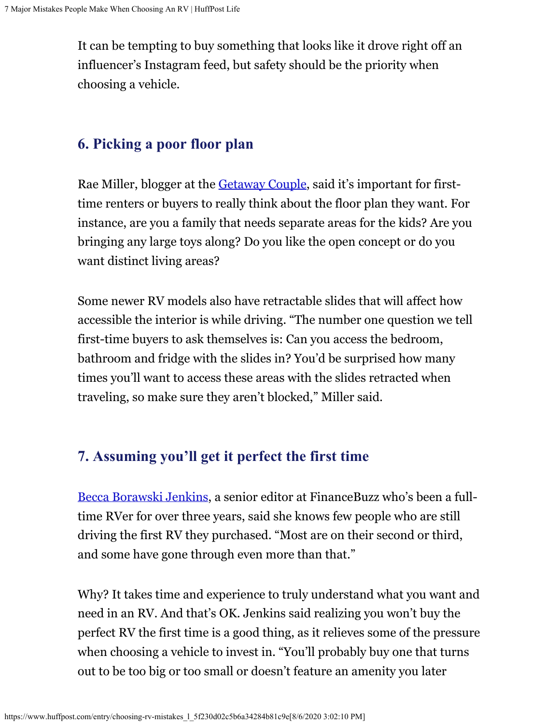It can be tempting to buy something that looks like it drove right off an influencer's Instagram feed, but safety should be the priority when choosing a vehicle.

#### **6. Picking a poor floor plan**

Rae Miller, blogger at the [Getaway Couple](https://www.getawaycouple.com/), said it's important for firsttime renters or buyers to really think about the floor plan they want. For instance, are you a family that needs separate areas for the kids? Are you bringing any large toys along? Do you like the open concept or do you want distinct living areas?

Some newer RV models also have retractable slides that will affect how accessible the interior is while driving. "The number one question we tell first-time buyers to ask themselves is: Can you access the bedroom, bathroom and fridge with the slides in? You'd be surprised how many times you'll want to access these areas with the slides retracted when traveling, so make sure they aren't blocked," Miller said.

#### **7. Assuming you'll get it perfect the first time**

[Becca Borawski Jenkins,](https://financebuzz.com/authors/becca-borawski-jenkins) a senior editor at FinanceBuzz who's been a fulltime RVer for over three years, said she knows few people who are still driving the first RV they purchased. "Most are on their second or third, and some have gone through even more than that."

Why? It takes time and experience to truly understand what you want and need in an RV. And that's OK. Jenkins said realizing you won't buy the perfect RV the first time is a good thing, as it relieves some of the pressure when choosing a vehicle to invest in. "You'll probably buy one that turns out to be too big or too small or doesn't feature an amenity you later